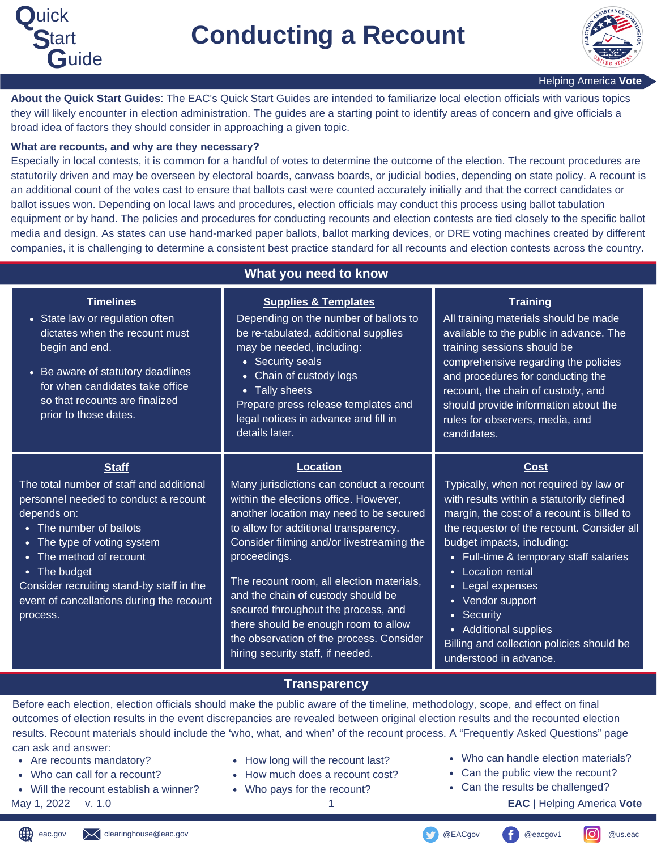



**About the Quick Start Guides**: The EAC's Quick Start Guides are intended to familiarize local election officials with various topics they will likely encounter in election administration. The guides are a starting point to identify areas of concern and give officials a broad idea of factors they should consider in approaching a given topic.

#### **What are recounts, and why are they necessary?**

Especially in local contests, it is common for a handful of votes to determine the outcome of the election. The recount procedures are statutorily driven and may be overseen by electoral boards, canvass boards, or judicial bodies, depending on state policy. A recount is an additional count of the votes cast to ensure that ballots cast were counted accurately initially and that the correct candidates or ballot issues won. Depending on local laws and procedures, election officials may conduct this process using ballot tabulation equipment or by hand. The policies and procedures for conducting recounts and election contests are tied closely to the specific ballot media and design. As states can use hand-marked paper ballots, ballot marking devices, or DRE voting machines created by different companies, it is challenging to determine a consistent best practice standard for all recounts and election contests across the country.

| What you need to know                                                                                                                                                                                                                                                                                                     |                                                                                                                                                                                                                                                                                                                                                                                                                                                                                                          |                                                                                                                                                                                                                                                                                                                                                                                                                                                   |
|---------------------------------------------------------------------------------------------------------------------------------------------------------------------------------------------------------------------------------------------------------------------------------------------------------------------------|----------------------------------------------------------------------------------------------------------------------------------------------------------------------------------------------------------------------------------------------------------------------------------------------------------------------------------------------------------------------------------------------------------------------------------------------------------------------------------------------------------|---------------------------------------------------------------------------------------------------------------------------------------------------------------------------------------------------------------------------------------------------------------------------------------------------------------------------------------------------------------------------------------------------------------------------------------------------|
| <b>Timelines</b><br>• State law or regulation often<br>dictates when the recount must<br>begin and end.<br>• Be aware of statutory deadlines<br>for when candidates take office<br>so that recounts are finalized<br>prior to those dates.                                                                                | <b>Supplies &amp; Templates</b><br>Depending on the number of ballots to<br>be re-tabulated, additional supplies<br>may be needed, including:<br>• Security seals<br>Chain of custody logs<br>$\bullet$<br><b>Tally sheets</b><br>$\bullet$<br>Prepare press release templates and<br>legal notices in advance and fill in<br>details later.                                                                                                                                                             | <b>Training</b><br>All training materials should be made<br>available to the public in advance. The<br>training sessions should be<br>comprehensive regarding the policies<br>and procedures for conducting the<br>recount, the chain of custody, and<br>should provide information about the<br>rules for observers, media, and<br>candidates.                                                                                                   |
| <b>Staff</b><br>The total number of staff and additional<br>personnel needed to conduct a recount<br>depends on:<br>• The number of ballots<br>• The type of voting system<br>The method of recount<br>• The budget<br>Consider recruiting stand-by staff in the<br>event of cancellations during the recount<br>process. | <b>Location</b><br>Many jurisdictions can conduct a recount<br>within the elections office. However,<br>another location may need to be secured<br>to allow for additional transparency.<br>Consider filming and/or livestreaming the<br>proceedings.<br>The recount room, all election materials,<br>and the chain of custody should be<br>secured throughout the process, and<br>there should be enough room to allow<br>the observation of the process. Consider<br>hiring security staff, if needed. | <b>Cost</b><br>Typically, when not required by law or<br>with results within a statutorily defined<br>margin, the cost of a recount is billed to<br>the requestor of the recount. Consider all<br>budget impacts, including:<br>• Full-time & temporary staff salaries<br>• Location rental<br>• Legal expenses<br>• Vendor support<br>• Security<br>• Additional supplies<br>Billing and collection policies should be<br>understood in advance. |

### **Transparency**

Before each election, election officials should make the public aware of the timeline, methodology, scope, and effect on final outcomes of election results in the event discrepancies are revealed between original election results and the recounted election results. Recount materials should include the 'who, what, and when' of the recount process. A "Frequently Asked Questions" page can ask and answer:

- Are recounts mandatory?
- Who can call for a recount?
- Will the recount establish a winner?

- How long will the recount last?
- How much does a recount cost?
- Who pays for the recount?
- Who can handle election materials?
- Can the public view the recount?
- Can the results be challenged?
- May 1, 2022 v. 1.0 1 **EAC |** Helping America **Vote**